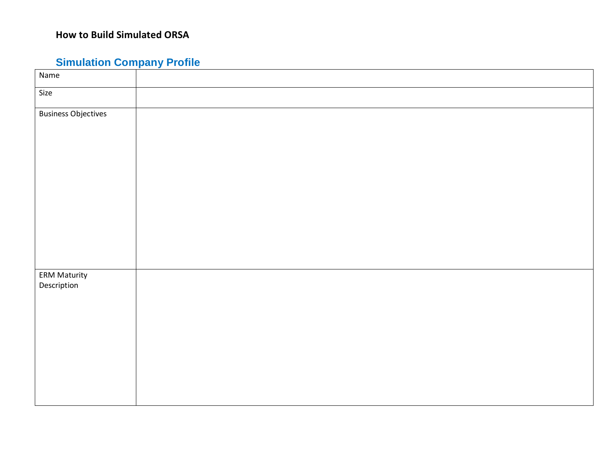# **Simulation Company Profile**

| Name                               |
|------------------------------------|
| Size                               |
| <b>Business Objectives</b>         |
|                                    |
|                                    |
|                                    |
|                                    |
|                                    |
|                                    |
|                                    |
|                                    |
|                                    |
| <b>ERM Maturity</b><br>Description |
|                                    |
|                                    |
|                                    |
|                                    |
|                                    |
|                                    |
|                                    |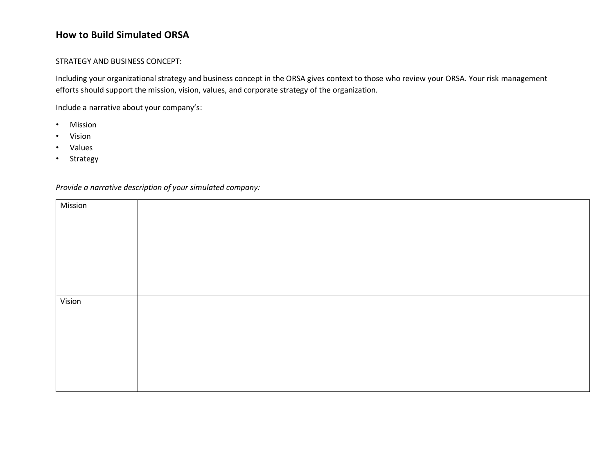#### STRATEGY AND BUSINESS CONCEPT:

Including your organizational strategy and business concept in the ORSA gives context to those who review your ORSA. Your risk management efforts should support the mission, vision, values, and corporate strategy of the organization.

Include a narrative about your company's:

- Mission
- Vision
- Values
- Strategy

| Mission |  |
|---------|--|
|         |  |
|         |  |
|         |  |
|         |  |
|         |  |
|         |  |
| Vision  |  |
|         |  |
|         |  |
|         |  |
|         |  |
|         |  |
|         |  |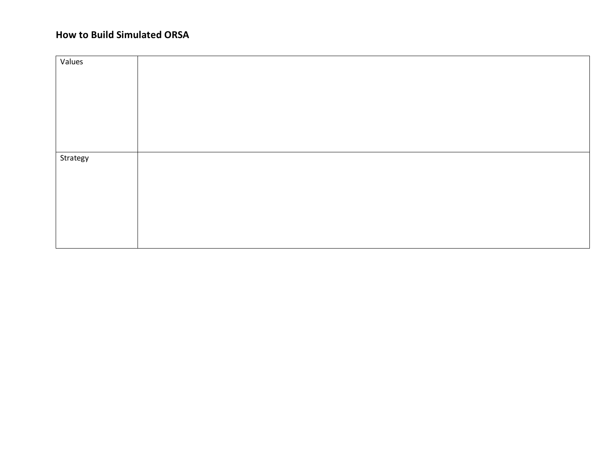| Values   |  |
|----------|--|
|          |  |
| Strategy |  |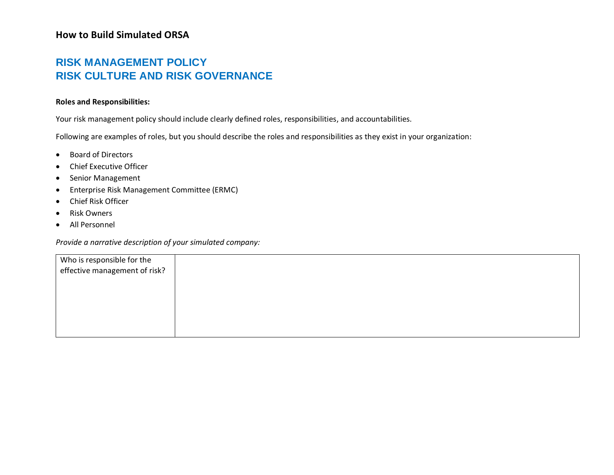## **RISK MANAGEMENT POLICY RISK CULTURE AND RISK GOVERNANCE**

#### **Roles and Responsibilities:**

Your risk management policy should include clearly defined roles, responsibilities, and accountabilities.

Following are examples of roles, but you should describe the roles and responsibilities as they exist in your organization:

- Board of Directors
- Chief Executive Officer
- Senior Management
- Enterprise Risk Management Committee (ERMC)
- Chief Risk Officer
- Risk Owners
- All Personnel

| Who is responsible for the<br>effective management of risk? |  |  |
|-------------------------------------------------------------|--|--|
|                                                             |  |  |
|                                                             |  |  |
|                                                             |  |  |
|                                                             |  |  |
|                                                             |  |  |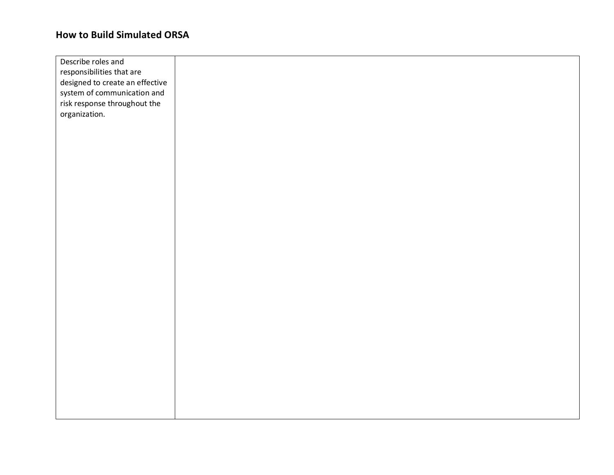| Describe roles and              |  |
|---------------------------------|--|
| responsibilities that are       |  |
| designed to create an effective |  |
| system of communication and     |  |
| risk response throughout the    |  |
| organization.                   |  |
|                                 |  |
|                                 |  |
|                                 |  |
|                                 |  |
|                                 |  |
|                                 |  |
|                                 |  |
|                                 |  |
|                                 |  |
|                                 |  |
|                                 |  |
|                                 |  |
|                                 |  |
|                                 |  |
|                                 |  |
|                                 |  |
|                                 |  |
|                                 |  |
|                                 |  |
|                                 |  |
|                                 |  |
|                                 |  |
|                                 |  |
|                                 |  |
|                                 |  |
|                                 |  |
|                                 |  |
|                                 |  |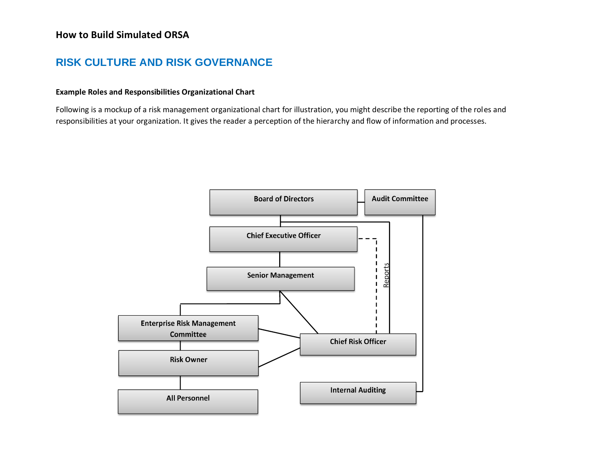### **RISK CULTURE AND RISK GOVERNANCE**

#### **Example Roles and Responsibilities Organizational Chart**

Following is a mockup of a risk management organizational chart for illustration, you might describe the reporting of the roles and responsibilities at your organization. It gives the reader a perception of the hierarchy and flow of information and processes.

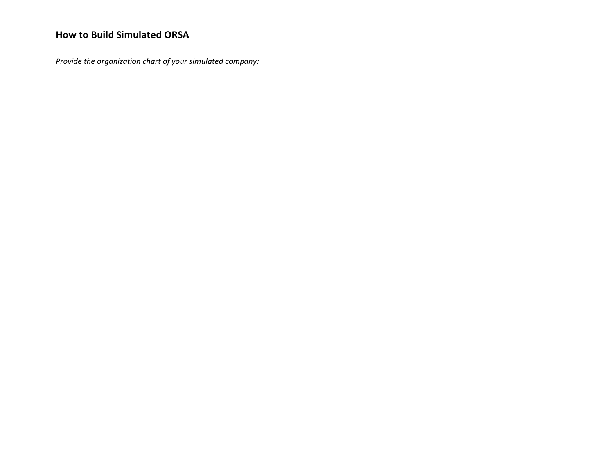*Provide the organization chart of your simulated company:*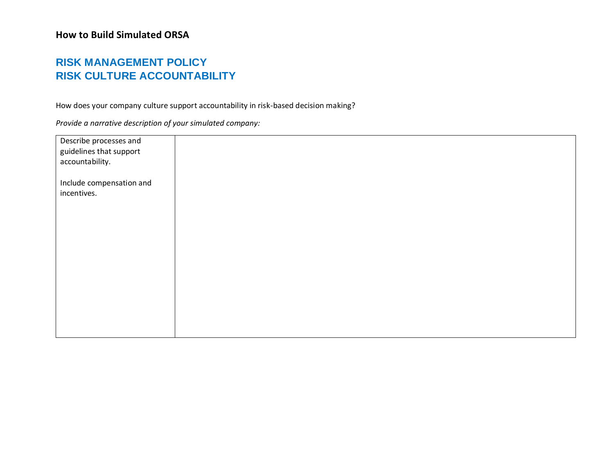## **RISK MANAGEMENT POLICY RISK CULTURE ACCOUNTABILITY**

How does your company culture support accountability in risk-based decision making?

| Describe processes and   |
|--------------------------|
| guidelines that support  |
| accountability.          |
| Include compensation and |
| incentives.              |
|                          |
|                          |
|                          |
|                          |
|                          |
|                          |
|                          |
|                          |
|                          |
|                          |
|                          |
|                          |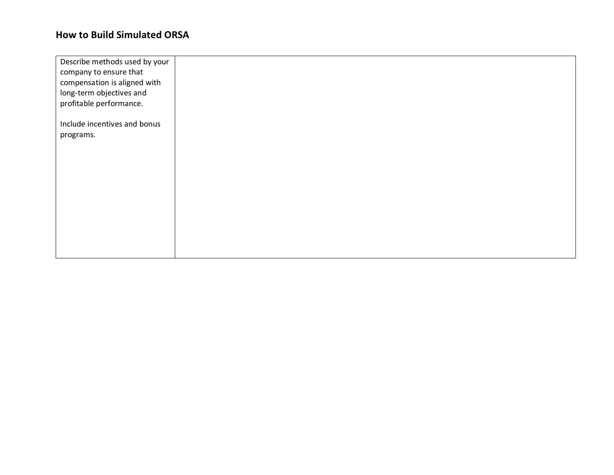| Describe methods used by your |  |
|-------------------------------|--|
| company to ensure that        |  |
| compensation is aligned with  |  |
| long-term objectives and      |  |
| profitable performance.       |  |
| Include incentives and bonus  |  |
| programs.                     |  |
|                               |  |
|                               |  |
|                               |  |
|                               |  |
|                               |  |
|                               |  |
|                               |  |
|                               |  |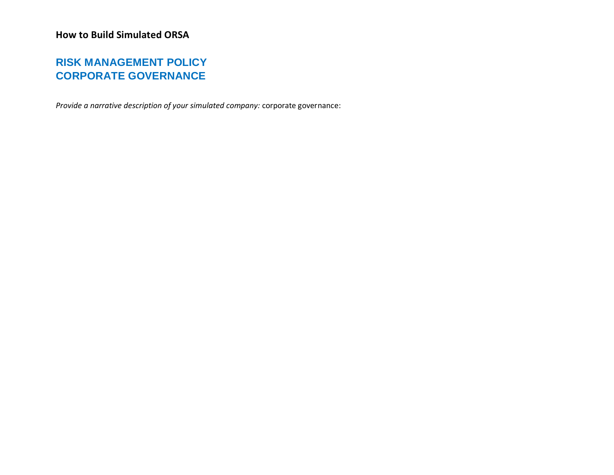## **RISK MANAGEMENT POLICY CORPORATE GOVERNANCE**

*Provide a narrative description of your simulated company:* corporate governance: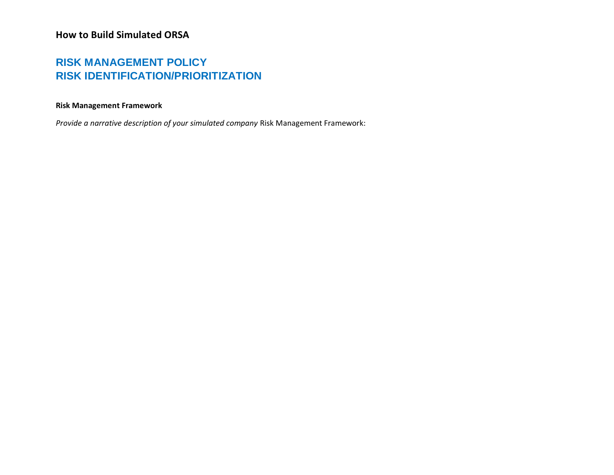### **RISK MANAGEMENT POLICY RISK IDENTIFICATION/PRIORITIZATION**

#### **Risk Management Framework**

*Provide a narrative description of your simulated company* Risk Management Framework: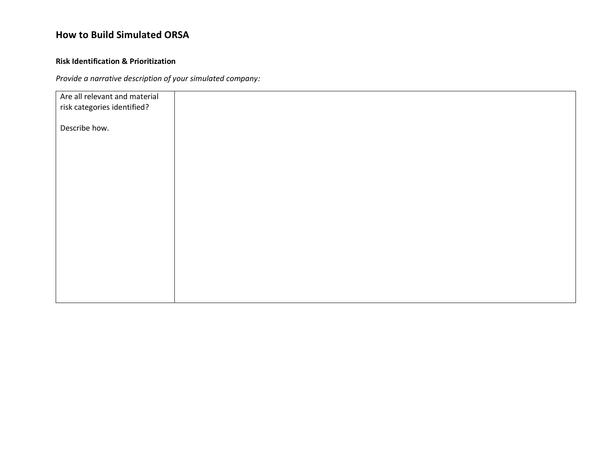#### **Risk Identification & Prioritization**

| Are all relevant and material |  |  |
|-------------------------------|--|--|
| risk categories identified?   |  |  |
|                               |  |  |
| Describe how.                 |  |  |
|                               |  |  |
|                               |  |  |
|                               |  |  |
|                               |  |  |
|                               |  |  |
|                               |  |  |
|                               |  |  |
|                               |  |  |
|                               |  |  |
|                               |  |  |
|                               |  |  |
|                               |  |  |
|                               |  |  |
|                               |  |  |
|                               |  |  |
|                               |  |  |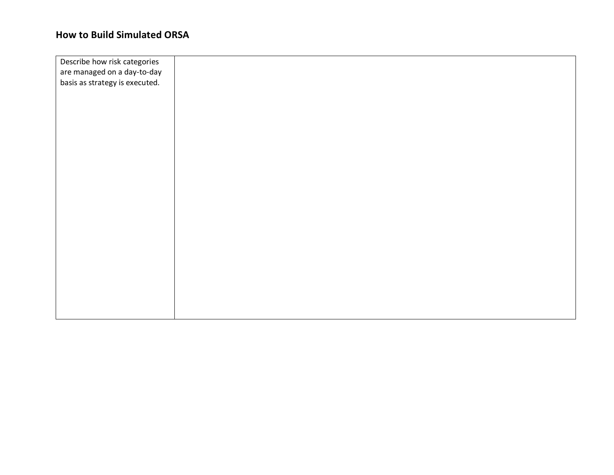| Describe how risk categories   |  |
|--------------------------------|--|
| are managed on a day-to-day    |  |
| basis as strategy is executed. |  |
|                                |  |
|                                |  |
|                                |  |
|                                |  |
|                                |  |
|                                |  |
|                                |  |
|                                |  |
|                                |  |
|                                |  |
|                                |  |
|                                |  |
|                                |  |
|                                |  |
|                                |  |
|                                |  |
|                                |  |
|                                |  |
|                                |  |
|                                |  |
|                                |  |
|                                |  |
|                                |  |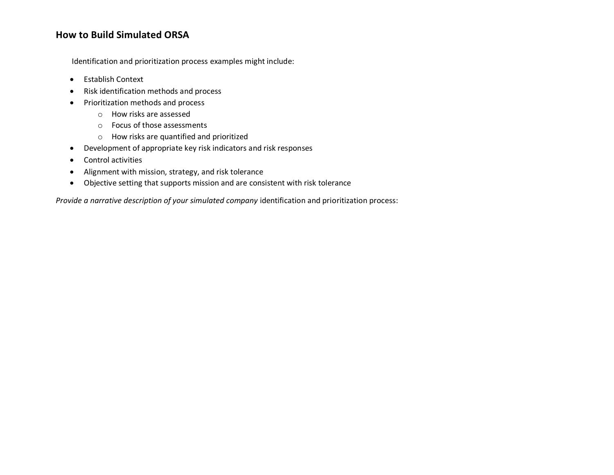Identification and prioritization process examples might include:

- Establish Context
- Risk identification methods and process
- Prioritization methods and process
	- o How risks are assessed
	- o Focus of those assessments
	- o How risks are quantified and prioritized
- Development of appropriate key risk indicators and risk responses
- Control activities
- Alignment with mission, strategy, and risk tolerance
- Objective setting that supports mission and are consistent with risk tolerance

*Provide a narrative description of your simulated company* identification and prioritization process: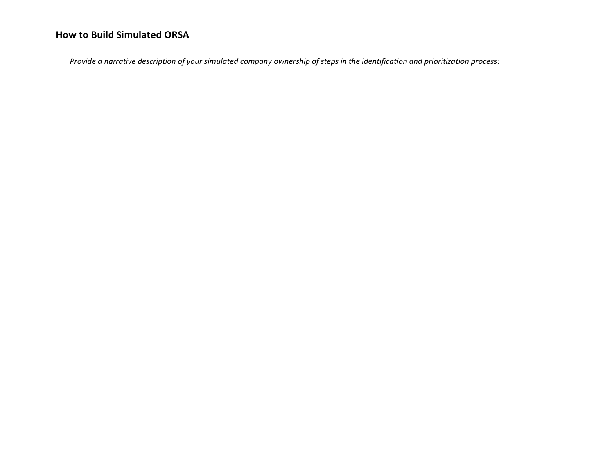*Provide a narrative description of your simulated company ownership of steps in the identification and prioritization process:*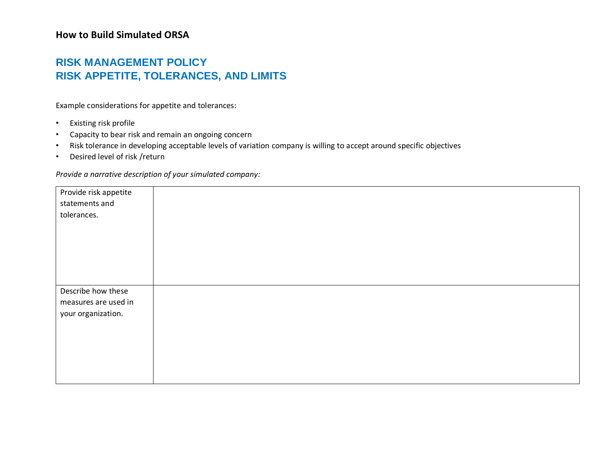### **RISK MANAGEMENT POLICY RISK APPETITE, TOLERANCES, AND LIMITS**

Example considerations for appetite and tolerances:

- Existing risk profile
- Capacity to bear risk and remain an ongoing concern
- Risk tolerance in developing acceptable levels of variation company is willing to accept around specific objectives
- Desired level of risk /return

| Provide risk appetite |  |
|-----------------------|--|
| statements and        |  |
| tolerances.           |  |
|                       |  |
|                       |  |
|                       |  |
|                       |  |
|                       |  |
|                       |  |
| Describe how these    |  |
| measures are used in  |  |
| your organization.    |  |
|                       |  |
|                       |  |
|                       |  |
|                       |  |
|                       |  |
|                       |  |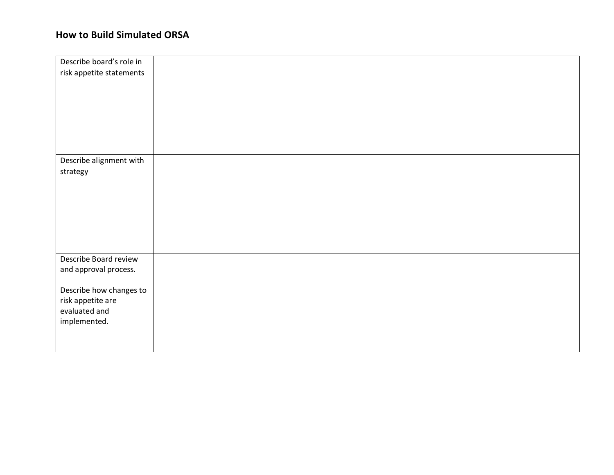| Describe board's role in |  |
|--------------------------|--|
| risk appetite statements |  |
|                          |  |
|                          |  |
|                          |  |
|                          |  |
|                          |  |
|                          |  |
|                          |  |
| Describe alignment with  |  |
| strategy                 |  |
|                          |  |
|                          |  |
|                          |  |
|                          |  |
|                          |  |
|                          |  |
|                          |  |
| Describe Board review    |  |
| and approval process.    |  |
|                          |  |
| Describe how changes to  |  |
| risk appetite are        |  |
| evaluated and            |  |
| implemented.             |  |
|                          |  |
|                          |  |
|                          |  |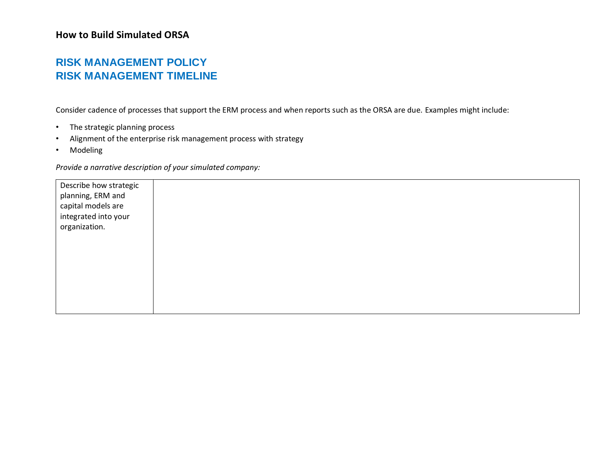### **RISK MANAGEMENT POLICY RISK MANAGEMENT TIMELINE**

Consider cadence of processes that support the ERM process and when reports such as the ORSA are due. Examples might include:

- The strategic planning process
- Alignment of the enterprise risk management process with strategy
- Modeling

| Describe how strategic<br>planning, ERM and<br>capital models are<br>integrated into your |  |  |
|-------------------------------------------------------------------------------------------|--|--|
| organization.                                                                             |  |  |
|                                                                                           |  |  |
|                                                                                           |  |  |
|                                                                                           |  |  |
|                                                                                           |  |  |
|                                                                                           |  |  |
|                                                                                           |  |  |
|                                                                                           |  |  |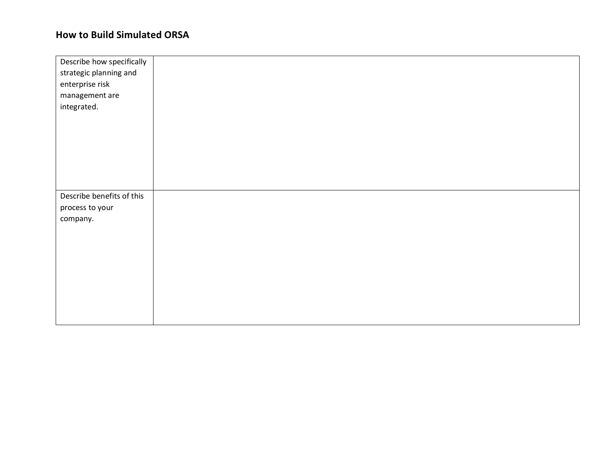| Describe how specifically |  |
|---------------------------|--|
| strategic planning and    |  |
| enterprise risk           |  |
| management are            |  |
| integrated.               |  |
|                           |  |
|                           |  |
|                           |  |
|                           |  |
|                           |  |
|                           |  |
|                           |  |
| Describe benefits of this |  |
| process to your           |  |
| company.                  |  |
|                           |  |
|                           |  |
|                           |  |
|                           |  |
|                           |  |
|                           |  |
|                           |  |
|                           |  |
|                           |  |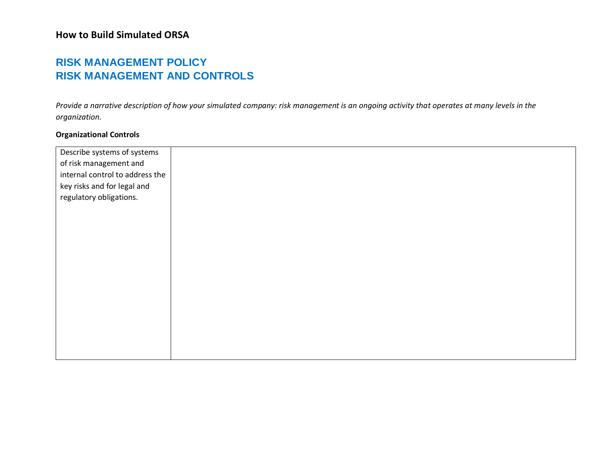### **RISK MANAGEMENT POLICY RISK MANAGEMENT AND CONTROLS**

*Provide a narrative description of how your simulated company: risk management is an ongoing activity that operates at many levels in the organization.*

### **Organizational Controls**

| Describe systems of systems     |  |
|---------------------------------|--|
| of risk management and          |  |
| internal control to address the |  |
| key risks and for legal and     |  |
| regulatory obligations.         |  |
|                                 |  |
|                                 |  |
|                                 |  |
|                                 |  |
|                                 |  |
|                                 |  |
|                                 |  |
|                                 |  |
|                                 |  |
|                                 |  |
|                                 |  |
|                                 |  |
|                                 |  |
|                                 |  |
|                                 |  |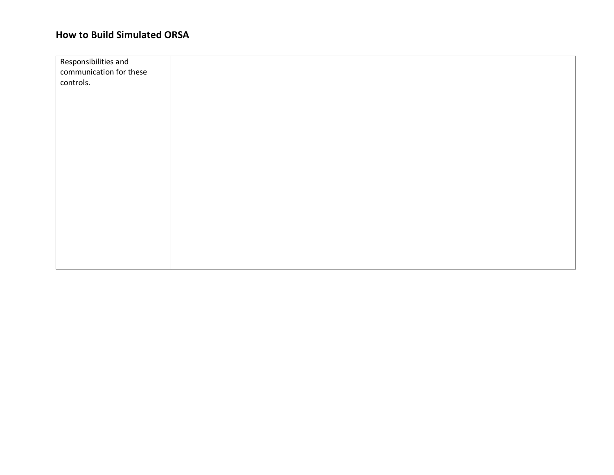| Responsibilities and<br>communication for these |  |
|-------------------------------------------------|--|
| controls.                                       |  |
|                                                 |  |
|                                                 |  |
|                                                 |  |
|                                                 |  |
|                                                 |  |
|                                                 |  |
|                                                 |  |
|                                                 |  |
|                                                 |  |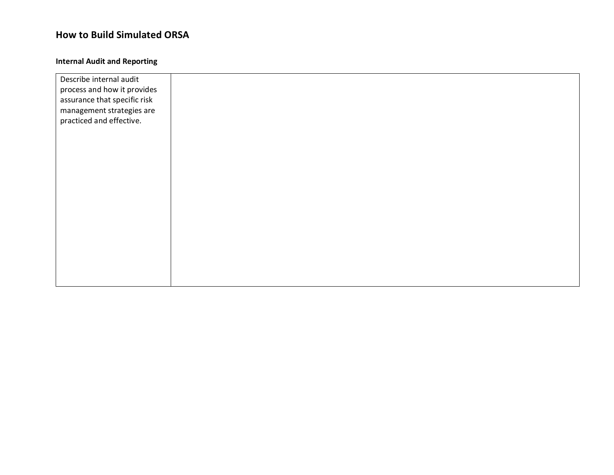#### **Internal Audit and Reporting**

| Describe internal audit      |  |  |
|------------------------------|--|--|
| process and how it provides  |  |  |
| assurance that specific risk |  |  |
| management strategies are    |  |  |
| practiced and effective.     |  |  |
|                              |  |  |
|                              |  |  |
|                              |  |  |
|                              |  |  |
|                              |  |  |
|                              |  |  |
|                              |  |  |
|                              |  |  |
|                              |  |  |
|                              |  |  |
|                              |  |  |
|                              |  |  |
|                              |  |  |
|                              |  |  |
|                              |  |  |
|                              |  |  |
|                              |  |  |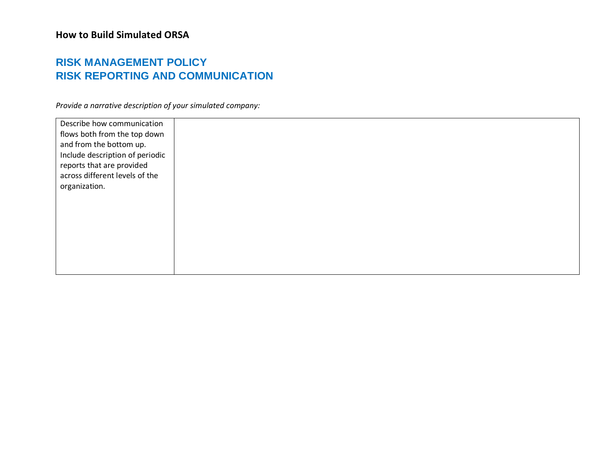### **RISK MANAGEMENT POLICY RISK REPORTING AND COMMUNICATION**

| Describe how communication<br>flows both from the top down<br>and from the bottom up.<br>Include description of periodic<br>reports that are provided<br>across different levels of the<br>organization. |  |  |  |
|----------------------------------------------------------------------------------------------------------------------------------------------------------------------------------------------------------|--|--|--|
|                                                                                                                                                                                                          |  |  |  |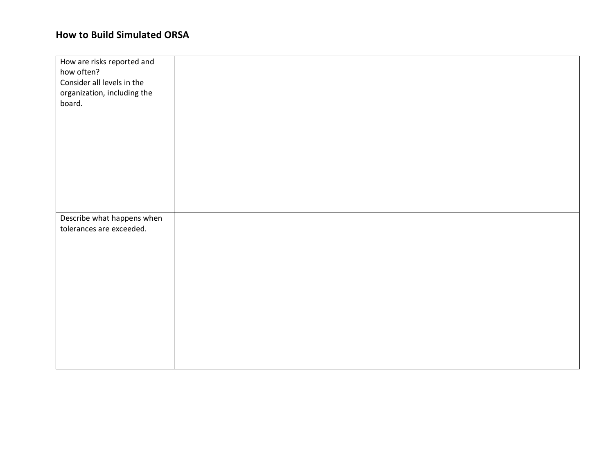| How are risks reported and                             |  |
|--------------------------------------------------------|--|
| how often?                                             |  |
| Consider all levels in the                             |  |
| organization, including the<br>board.                  |  |
|                                                        |  |
|                                                        |  |
|                                                        |  |
|                                                        |  |
|                                                        |  |
|                                                        |  |
|                                                        |  |
|                                                        |  |
|                                                        |  |
|                                                        |  |
| Describe what happens when<br>tolerances are exceeded. |  |
|                                                        |  |
|                                                        |  |
|                                                        |  |
|                                                        |  |
|                                                        |  |
|                                                        |  |
|                                                        |  |
|                                                        |  |
|                                                        |  |
|                                                        |  |
|                                                        |  |
|                                                        |  |
|                                                        |  |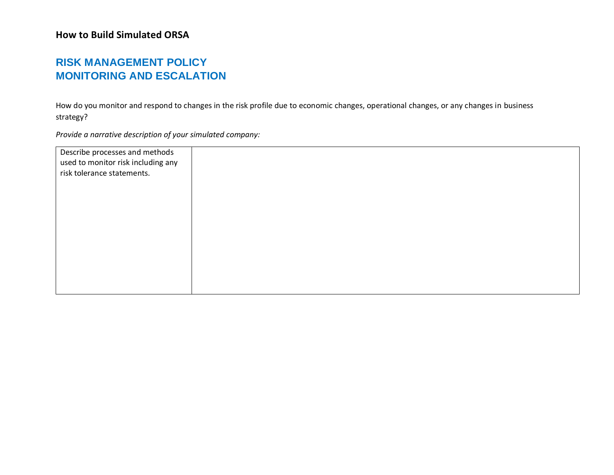## **RISK MANAGEMENT POLICY MONITORING AND ESCALATION**

How do you monitor and respond to changes in the risk profile due to economic changes, operational changes, or any changes in business strategy?

| Describe processes and methods     |  |
|------------------------------------|--|
| used to monitor risk including any |  |
| risk tolerance statements.         |  |
|                                    |  |
|                                    |  |
|                                    |  |
|                                    |  |
|                                    |  |
|                                    |  |
|                                    |  |
|                                    |  |
|                                    |  |
|                                    |  |
|                                    |  |
|                                    |  |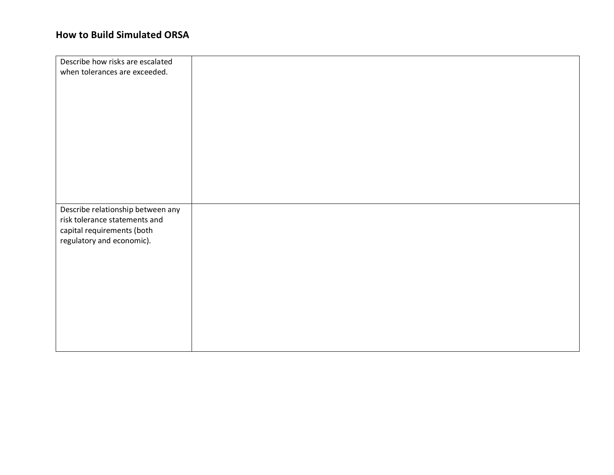| Describe how risks are escalated  |  |
|-----------------------------------|--|
|                                   |  |
| when tolerances are exceeded.     |  |
|                                   |  |
|                                   |  |
|                                   |  |
|                                   |  |
|                                   |  |
|                                   |  |
|                                   |  |
|                                   |  |
|                                   |  |
|                                   |  |
|                                   |  |
|                                   |  |
|                                   |  |
|                                   |  |
|                                   |  |
|                                   |  |
|                                   |  |
|                                   |  |
| Describe relationship between any |  |
| risk tolerance statements and     |  |
| capital requirements (both        |  |
|                                   |  |
| regulatory and economic).         |  |
|                                   |  |
|                                   |  |
|                                   |  |
|                                   |  |
|                                   |  |
|                                   |  |
|                                   |  |
|                                   |  |
|                                   |  |
|                                   |  |
|                                   |  |
|                                   |  |
|                                   |  |
|                                   |  |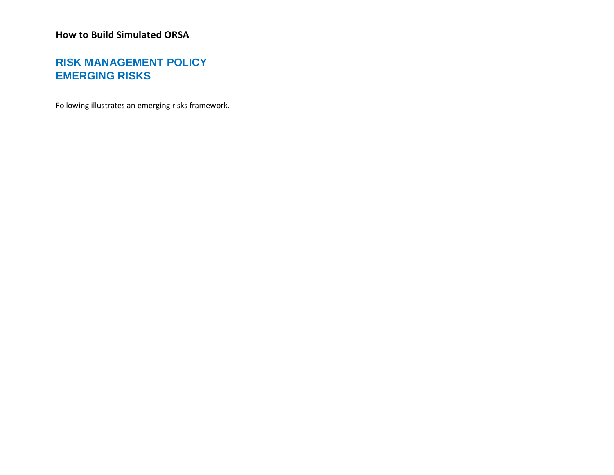## **RISK MANAGEMENT POLICY EMERGING RISKS**

Following illustrates an emerging risks framework.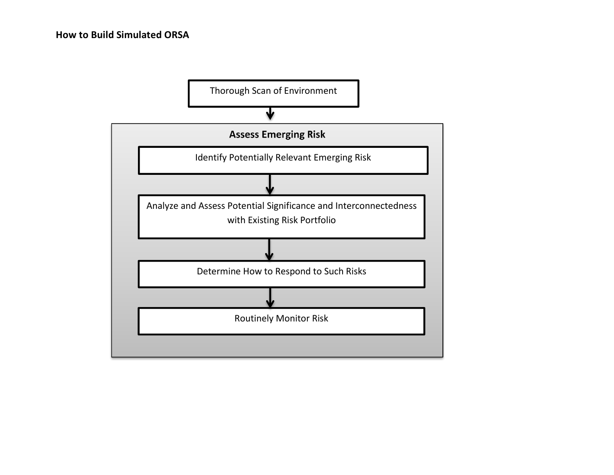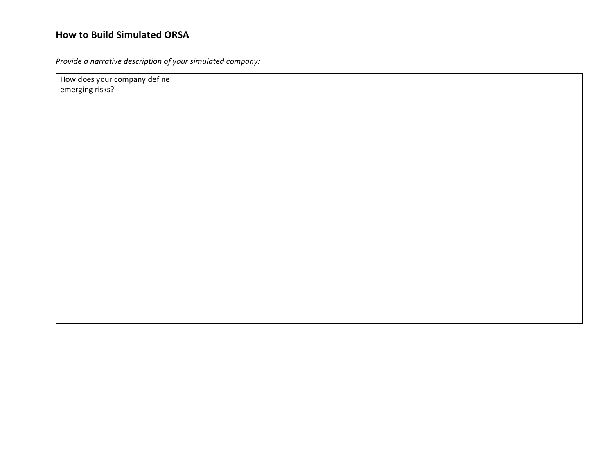| How does your company define |  |
|------------------------------|--|
|                              |  |
| emerging risks?              |  |
|                              |  |
|                              |  |
|                              |  |
|                              |  |
|                              |  |
|                              |  |
|                              |  |
|                              |  |
|                              |  |
|                              |  |
|                              |  |
|                              |  |
|                              |  |
|                              |  |
|                              |  |
|                              |  |
|                              |  |
|                              |  |
|                              |  |
|                              |  |
|                              |  |
|                              |  |
|                              |  |
|                              |  |
|                              |  |
|                              |  |
|                              |  |
|                              |  |
|                              |  |
|                              |  |
|                              |  |
|                              |  |
|                              |  |
|                              |  |
|                              |  |
|                              |  |
|                              |  |
|                              |  |
|                              |  |
|                              |  |
|                              |  |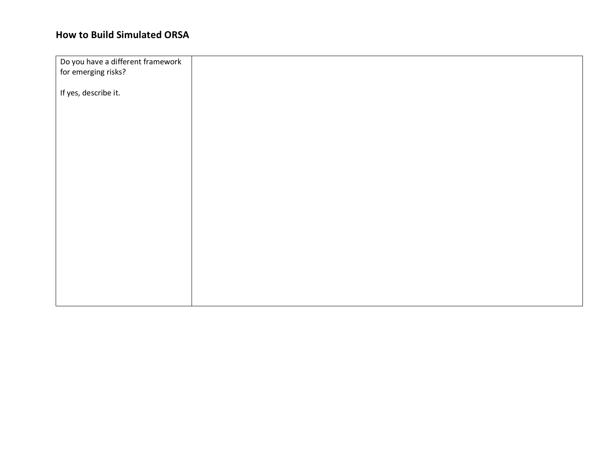| Do you have a different framework |  |
|-----------------------------------|--|
| for emerging risks?               |  |
|                                   |  |
| If yes, describe it.              |  |
|                                   |  |
|                                   |  |
|                                   |  |
|                                   |  |
|                                   |  |
|                                   |  |
|                                   |  |
|                                   |  |
|                                   |  |
|                                   |  |
|                                   |  |
|                                   |  |
|                                   |  |
|                                   |  |
|                                   |  |
|                                   |  |
|                                   |  |
|                                   |  |
|                                   |  |
|                                   |  |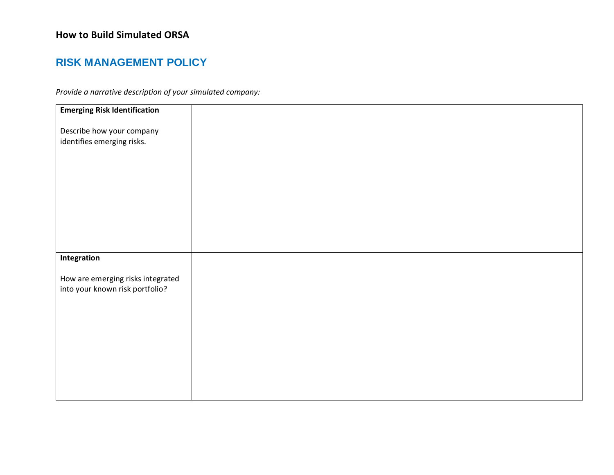### **RISK MANAGEMENT POLICY**

| <b>Emerging Risk Identification</b>                                  |
|----------------------------------------------------------------------|
| Describe how your company                                            |
| identifies emerging risks.                                           |
|                                                                      |
|                                                                      |
|                                                                      |
|                                                                      |
|                                                                      |
|                                                                      |
| Integration                                                          |
| How are emerging risks integrated<br>into your known risk portfolio? |
|                                                                      |
|                                                                      |
|                                                                      |
|                                                                      |
|                                                                      |
|                                                                      |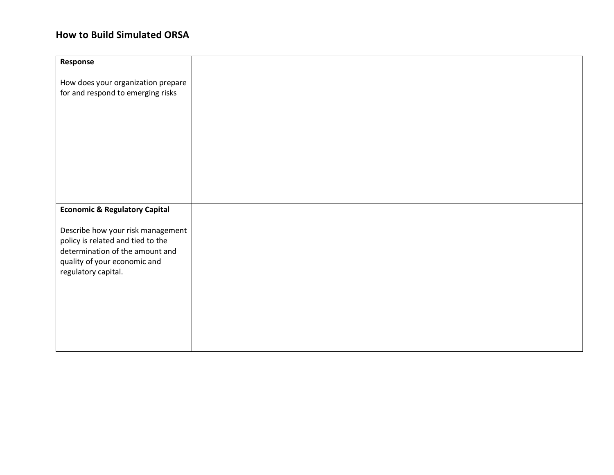| Response                                                                |  |
|-------------------------------------------------------------------------|--|
|                                                                         |  |
| How does your organization prepare<br>for and respond to emerging risks |  |
|                                                                         |  |
|                                                                         |  |
|                                                                         |  |
|                                                                         |  |
|                                                                         |  |
|                                                                         |  |
|                                                                         |  |
|                                                                         |  |
|                                                                         |  |
| <b>Economic &amp; Regulatory Capital</b>                                |  |
| Describe how your risk management                                       |  |
| policy is related and tied to the                                       |  |
| determination of the amount and                                         |  |
| quality of your economic and<br>regulatory capital.                     |  |
|                                                                         |  |
|                                                                         |  |
|                                                                         |  |
|                                                                         |  |
|                                                                         |  |
|                                                                         |  |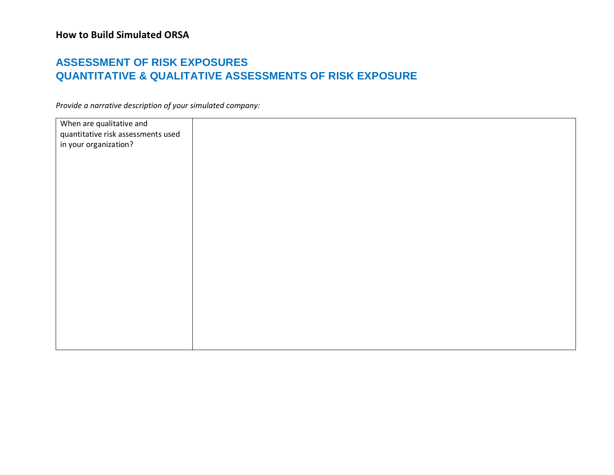### **ASSESSMENT OF RISK EXPOSURES QUANTITATIVE & QUALITATIVE ASSESSMENTS OF RISK EXPOSURE**

| When are qualitative and           |  |
|------------------------------------|--|
| quantitative risk assessments used |  |
|                                    |  |
| in your organization?              |  |
|                                    |  |
|                                    |  |
|                                    |  |
|                                    |  |
|                                    |  |
|                                    |  |
|                                    |  |
|                                    |  |
|                                    |  |
|                                    |  |
|                                    |  |
|                                    |  |
|                                    |  |
|                                    |  |
|                                    |  |
|                                    |  |
|                                    |  |
|                                    |  |
|                                    |  |
|                                    |  |
|                                    |  |
|                                    |  |
|                                    |  |
|                                    |  |
|                                    |  |
|                                    |  |
|                                    |  |
|                                    |  |
|                                    |  |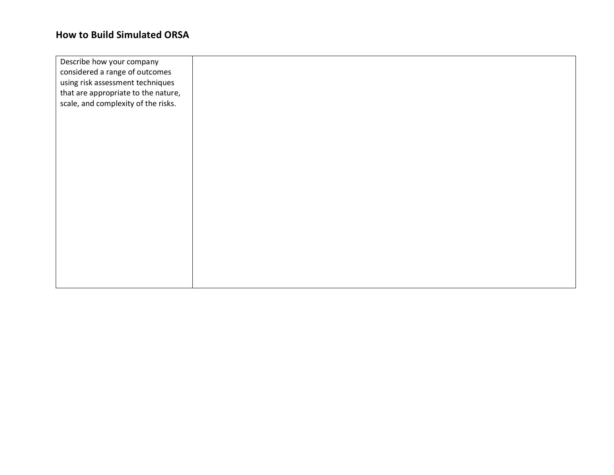| Describe how your company<br>considered a range of outcomes |  |
|-------------------------------------------------------------|--|
| using risk assessment techniques                            |  |
| that are appropriate to the nature,                         |  |
| scale, and complexity of the risks.                         |  |
|                                                             |  |
|                                                             |  |
|                                                             |  |
|                                                             |  |
|                                                             |  |
|                                                             |  |
|                                                             |  |
|                                                             |  |
|                                                             |  |
|                                                             |  |
|                                                             |  |
|                                                             |  |
|                                                             |  |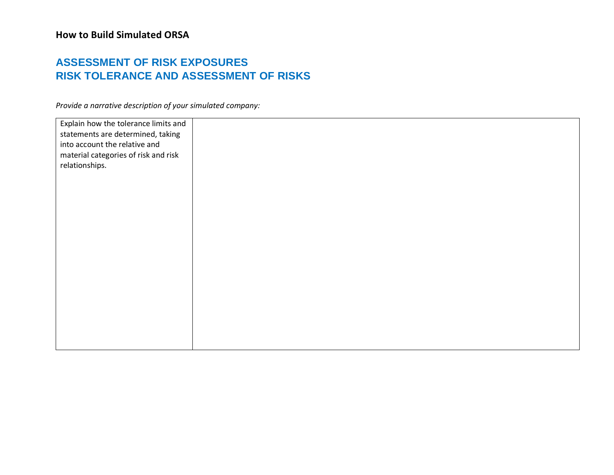## **ASSESSMENT OF RISK EXPOSURES RISK TOLERANCE AND ASSESSMENT OF RISKS**

| Explain how the tolerance limits and<br>statements are determined, taking |  |
|---------------------------------------------------------------------------|--|
| into account the relative and<br>material categories of risk and risk     |  |
| relationships.                                                            |  |
|                                                                           |  |
|                                                                           |  |
|                                                                           |  |
|                                                                           |  |
|                                                                           |  |
|                                                                           |  |
|                                                                           |  |
|                                                                           |  |
|                                                                           |  |
|                                                                           |  |
|                                                                           |  |
|                                                                           |  |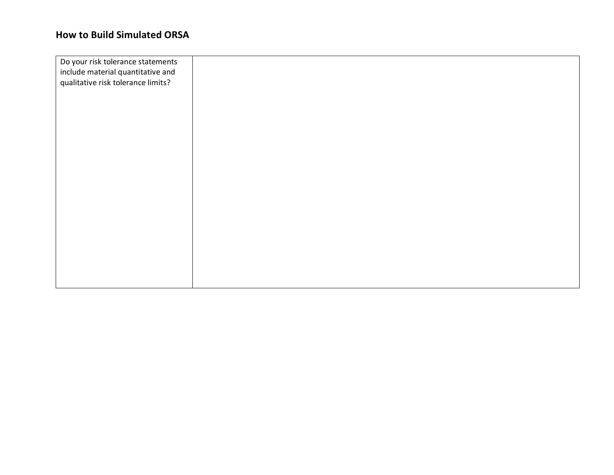| Do your risk tolerance statements  |  |
|------------------------------------|--|
| include material quantitative and  |  |
| qualitative risk tolerance limits? |  |
|                                    |  |
|                                    |  |
|                                    |  |
|                                    |  |
|                                    |  |
|                                    |  |
|                                    |  |
|                                    |  |
|                                    |  |
|                                    |  |
|                                    |  |
|                                    |  |
|                                    |  |
|                                    |  |
|                                    |  |
|                                    |  |
|                                    |  |
|                                    |  |
|                                    |  |
|                                    |  |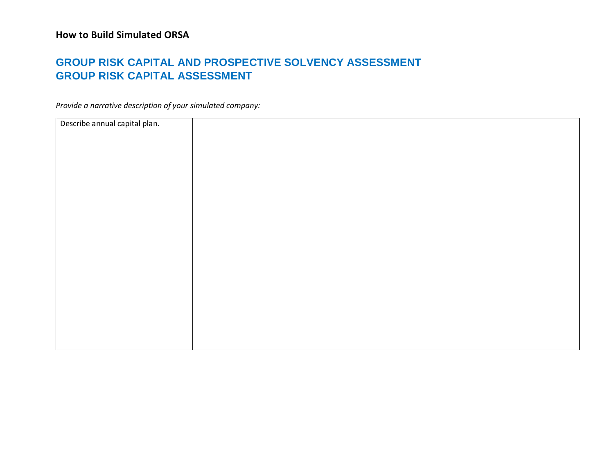## **GROUP RISK CAPITAL AND PROSPECTIVE SOLVENCY ASSESSMENT GROUP RISK CAPITAL ASSESSMENT**

| Describe annual capital plan. |  |
|-------------------------------|--|
|                               |  |
|                               |  |
|                               |  |
|                               |  |
|                               |  |
|                               |  |
|                               |  |
|                               |  |
|                               |  |
|                               |  |
|                               |  |
|                               |  |
|                               |  |
|                               |  |
|                               |  |
|                               |  |
|                               |  |
|                               |  |
|                               |  |
|                               |  |
|                               |  |
|                               |  |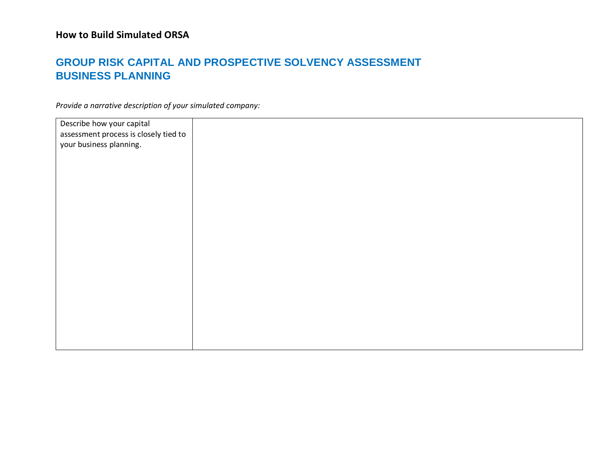## **GROUP RISK CAPITAL AND PROSPECTIVE SOLVENCY ASSESSMENT BUSINESS PLANNING**

| Describe how your capital             |  |
|---------------------------------------|--|
|                                       |  |
| assessment process is closely tied to |  |
|                                       |  |
| your business planning.               |  |
|                                       |  |
|                                       |  |
|                                       |  |
|                                       |  |
|                                       |  |
|                                       |  |
|                                       |  |
|                                       |  |
|                                       |  |
|                                       |  |
|                                       |  |
|                                       |  |
|                                       |  |
|                                       |  |
|                                       |  |
|                                       |  |
|                                       |  |
|                                       |  |
|                                       |  |
|                                       |  |
|                                       |  |
|                                       |  |
|                                       |  |
|                                       |  |
|                                       |  |
|                                       |  |
|                                       |  |
|                                       |  |
|                                       |  |
|                                       |  |
|                                       |  |
|                                       |  |
|                                       |  |
|                                       |  |
|                                       |  |
|                                       |  |
|                                       |  |
|                                       |  |
|                                       |  |